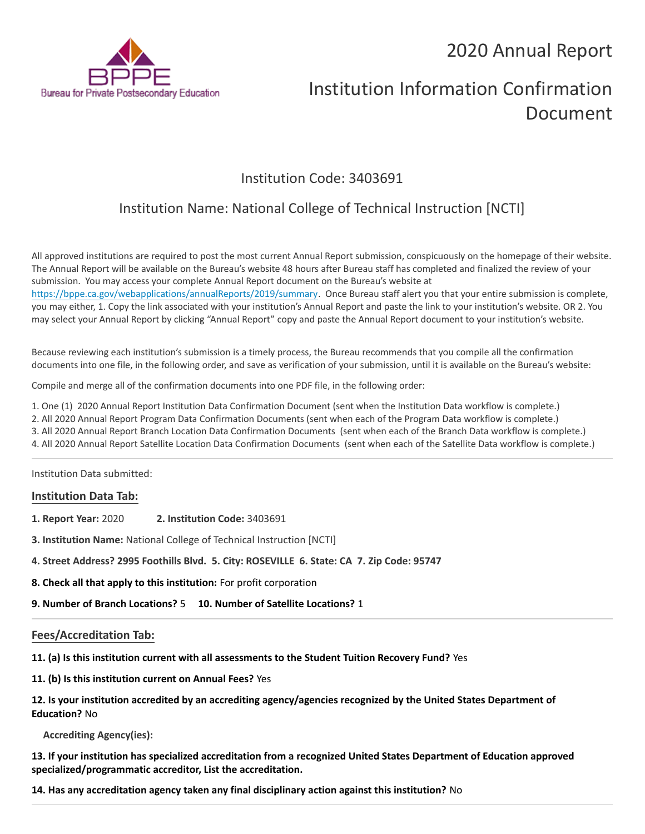## 2020 Annual Report



# Institution Information Confirmation Document

## Institution Code: 3403691

## Institution Name: National College of Technical Instruction [NCTI]

All approved institutions are required to post the most current Annual Report submission, conspicuously on the homepage of their website. The Annual Report will be available on the Bureau's website 48 hours after Bureau staff has completed and finalized the review of your submission. You may access your complete Annual Report document on the Bureau's website at <https://bppe.ca.gov/webapplications/annualReports/2019/summary>. Once Bureau staff alert you that your entire submission is complete, you may either, 1. Copy the link associated with your institution's Annual Report and paste the link to your institution's website. OR 2. You may select your Annual Report by clicking "Annual Report" copy and paste the Annual Report document to your institution's website.

Because reviewing each institution's submission is a timely process, the Bureau recommends that you compile all the confirmation documents into one file, in the following order, and save as verification of your submission, until it is available on the Bureau's website:

Compile and merge all of the confirmation documents into one PDF file, in the following order:

1. One (1) 2020 Annual Report Institution Data Confirmation Document (sent when the Institution Data workflow is complete.)

2. All 2020 Annual Report Program Data Confirmation Documents (sent when each of the Program Data workflow is complete.)

3. All 2020 Annual Report Branch Location Data Confirmation Documents (sent when each of the Branch Data workflow is complete.)

4. All 2020 Annual Report Satellite Location Data Confirmation Documents (sent when each of the Satellite Data workflow is complete.)

Institution Data submitted:

### **Institution Data Tab:**

- **1. Report Year:** 2020 **2. Institution Code:** 3403691
- **3. Institution Name:** National College of Technical Instruction [NCTI]
- **4. Street Address? 2995 Foothills Blvd. 5. City: ROSEVILLE 6. State: CA 7. Zip Code: 95747**
- **8. Check all that apply to this institution:** For profit corporation

**9. Number of Branch Locations?** 5 **10. Number of Satellite Locations?** 1

### **Fees/Accreditation Tab:**

**11. (a) Is this institution current with all assessments to the Student Tuition Recovery Fund?** Yes

**11. (b) Is this institution current on Annual Fees?** Yes

**12. Is your institution accredited by an accrediting agency/agencies recognized by the United States Department of Education?** No

**Accrediting Agency(ies):**

**13. If your institution has specialized accreditation from a recognized United States Department of Education approved specialized/programmatic accreditor, List the accreditation.**

**14. Has any accreditation agency taken any final disciplinary action against this institution?** No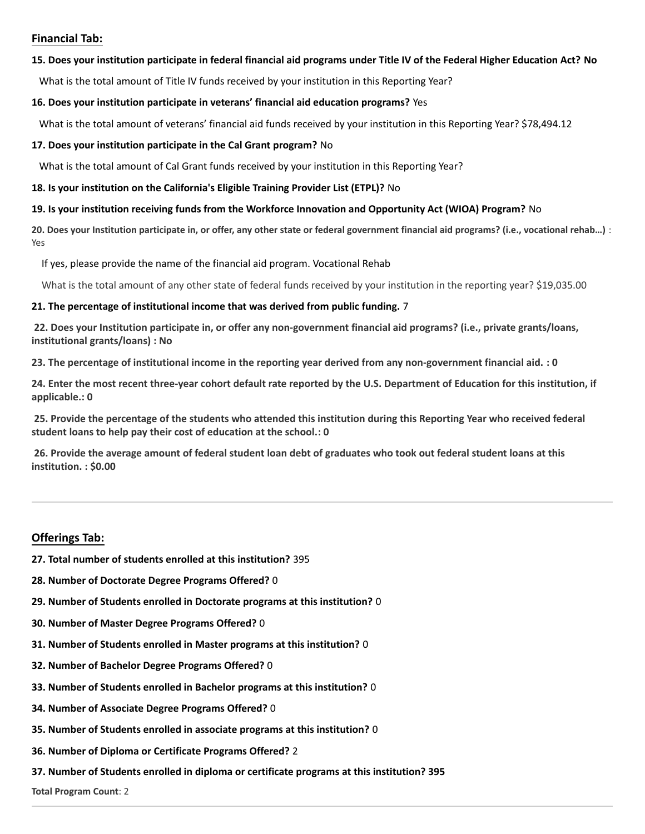### **Financial Tab:**

### **15. Does your institution participate in federal financial aid programs under Title IV of the Federal Higher Education Act? No**

What is the total amount of Title IV funds received by your institution in this Reporting Year?

#### **16. Does your institution participate in veterans' financial aid education programs?** Yes

What is the total amount of veterans' financial aid funds received by your institution in this Reporting Year? \$78,494.12

#### **17. Does your institution participate in the Cal Grant program?** No

What is the total amount of Cal Grant funds received by your institution in this Reporting Year?

#### **18. Is your institution on the California's Eligible Training Provider List (ETPL)?** No

### **19. Is your institution receiving funds from the Workforce Innovation and Opportunity Act (WIOA) Program?** No

**20. Does your Institution participate in, or offer, any other state or federal government financial aid programs? (i.e., vocational rehab…)** : Yes

If yes, please provide the name of the financial aid program. Vocational Rehab

What is the total amount of any other state of federal funds received by your institution in the reporting year? \$19,035.00

### **21. The percentage of institutional income that was derived from public funding.** 7

**22. Does your Institution participate in, or offer any non-government financial aid programs? (i.e., private grants/loans, institutional grants/loans) : No**

**23. The percentage of institutional income in the reporting year derived from any non-government financial aid. : 0**

**24. Enter the most recent three-year cohort default rate reported by the U.S. Department of Education for this institution, if applicable.: 0**

**25. Provide the percentage of the students who attended this institution during this Reporting Year who received federal student loans to help pay their cost of education at the school.: 0**

**26. Provide the average amount of federal student loan debt of graduates who took out federal student loans at this institution. : \$0.00**

### **Offerings Tab:**

- **27. Total number of students enrolled at this institution?** 395
- **28. Number of Doctorate Degree Programs Offered?** 0
- **29. Number of Students enrolled in Doctorate programs at this institution?** 0
- **30. Number of Master Degree Programs Offered?** 0
- **31. Number of Students enrolled in Master programs at this institution?** 0
- **32. Number of Bachelor Degree Programs Offered?** 0
- **33. Number of Students enrolled in Bachelor programs at this institution?** 0
- **34. Number of Associate Degree Programs Offered?** 0
- **35. Number of Students enrolled in associate programs at this institution?** 0
- **36. Number of Diploma or Certificate Programs Offered?** 2
- **37. Number of Students enrolled in diploma or certificate programs at this institution? 395**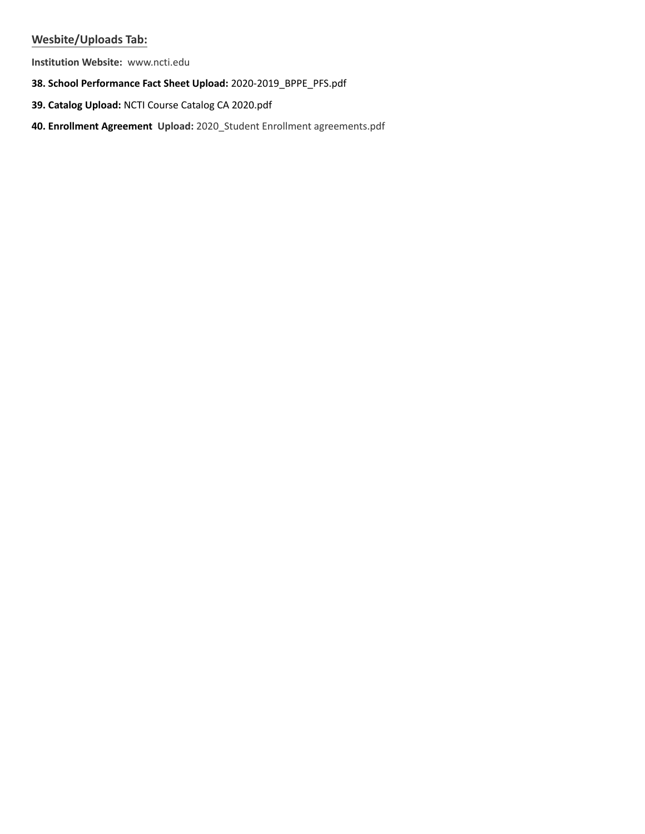### **Wesbite/Uploads Tab:**

**Institution Website:**  www.ncti.edu

- **38. School Performance Fact Sheet Upload:** 2020-2019\_BPPE\_PFS.pdf
- **39. Catalog Upload:** NCTI Course Catalog CA 2020.pdf
- **40. Enrollment Agreement Upload:** 2020\_Student Enrollment agreements.pdf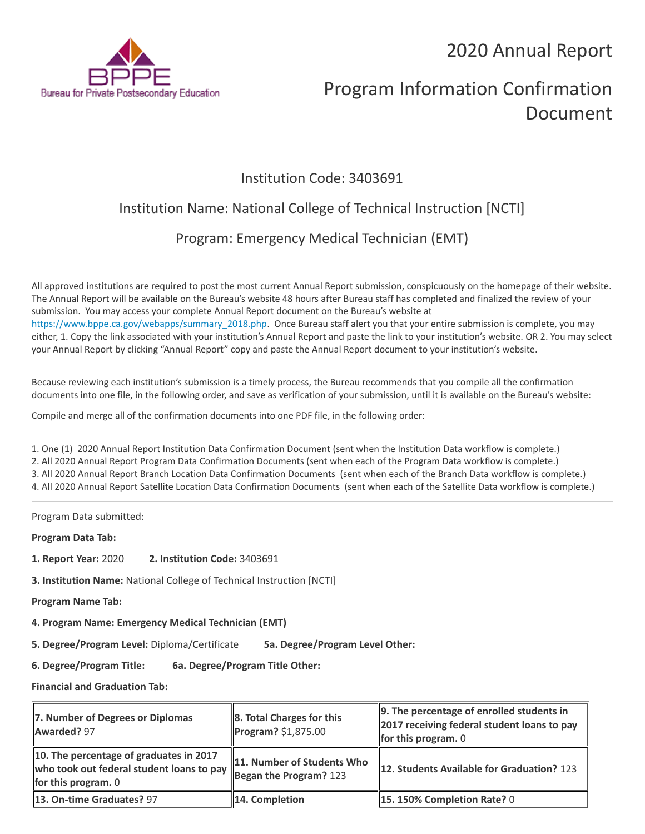2020 Annual Report



# Program Information Confirmation Document

## Institution Code: 3403691

## Institution Name: National College of Technical Instruction [NCTI]

## Program: Emergency Medical Technician (EMT)

All approved institutions are required to post the most current Annual Report submission, conspicuously on the homepage of their website. The Annual Report will be available on the Bureau's website 48 hours after Bureau staff has completed and finalized the review of your submission. You may access your complete Annual Report document on the Bureau's website at [https://www.bppe.ca.gov/webapps/summary\\_2018.php.](https://www.bppe.ca.gov/webapps/summary_2018.php) Once Bureau staff alert you that your entire submission is complete, you may either, 1. Copy the link associated with your institution's Annual Report and paste the link to your institution's website. OR 2. You may select your Annual Report by clicking "Annual Report" copy and paste the Annual Report document to your institution's website.

Because reviewing each institution's submission is a timely process, the Bureau recommends that you compile all the confirmation documents into one file, in the following order, and save as verification of your submission, until it is available on the Bureau's website:

Compile and merge all of the confirmation documents into one PDF file, in the following order:

1. One (1) 2020 Annual Report Institution Data Confirmation Document (sent when the Institution Data workflow is complete.) 2. All 2020 Annual Report Program Data Confirmation Documents (sent when each of the Program Data workflow is complete.) 3. All 2020 Annual Report Branch Location Data Confirmation Documents (sent when each of the Branch Data workflow is complete.) 4. All 2020 Annual Report Satellite Location Data Confirmation Documents (sent when each of the Satellite Data workflow is complete.)

Program Data submitted:

**Program Data Tab:**

- **1. Report Year:** 2020 **2. Institution Code:** 3403691
- **3. Institution Name:** National College of Technical Instruction [NCTI]
- **Program Name Tab:**
- **4. Program Name: Emergency Medical Technician (EMT)**

**5. Degree/Program Level:** Diploma/Certificate **5a. Degree/Program Level Other:**

**6. Degree/Program Title: 6a. Degree/Program Title Other:**

**Financial and Graduation Tab:**

| 7. Number of Degrees or Diplomas<br>Awarded? 97                                                               | 8. Total Charges for this<br>$P^{2}$ Program? \$1,875.00 | $\parallel$ 9. The percentage of enrolled students in<br>2017 receiving federal student loans to pay<br>for this program. $0$ |
|---------------------------------------------------------------------------------------------------------------|----------------------------------------------------------|-------------------------------------------------------------------------------------------------------------------------------|
| 10. The percentage of graduates in 2017<br>who took out federal student loans to pay<br>for this program. $0$ | 11. Number of Students Who<br>Began the Program? $123$   | <b>12. Students Available for Graduation? 123</b>                                                                             |
| 13. On-time Graduates? 97                                                                                     | 14. Completion                                           | $\parallel$ 15. 150% Completion Rate? 0                                                                                       |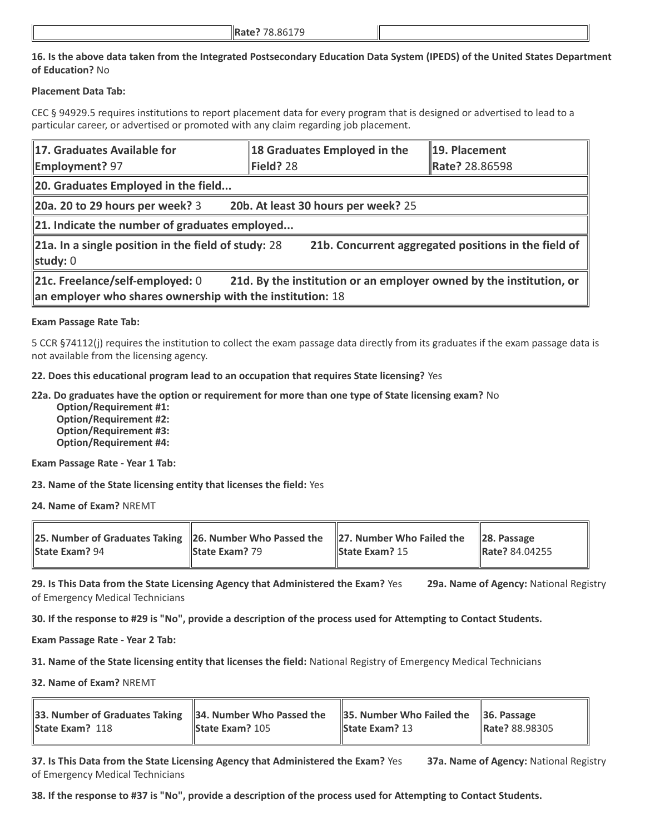### **16. Is the above data taken from the Integrated Postsecondary Education Data System (IPEDS) of the United States Department of Education?** No

### **Placement Data Tab:**

CEC § 94929.5 requires institutions to report placement data for every program that is designed or advertised to lead to a particular career, or advertised or promoted with any claim regarding job placement.

| 17. Graduates Available for<br><b>Employment?</b> 97                                                                                                                | 18 Graduates Employed in the<br>Field? 28 | 19. Placement<br>Rate? 28.86598 |  |  |
|---------------------------------------------------------------------------------------------------------------------------------------------------------------------|-------------------------------------------|---------------------------------|--|--|
| 20. Graduates Employed in the field                                                                                                                                 |                                           |                                 |  |  |
| $\vert$ 20a. 20 to 29 hours per week? 3                                                                                                                             | 20b. At least 30 hours per week? 25       |                                 |  |  |
| 21. Indicate the number of graduates employed                                                                                                                       |                                           |                                 |  |  |
| 21a. In a single position in the field of study: 28<br>21b. Concurrent aggregated positions in the field of<br>study: 0                                             |                                           |                                 |  |  |
| 21c. Freelance/self-employed: 0<br>21d. By the institution or an employer owned by the institution, or<br>an employer who shares ownership with the institution: 18 |                                           |                                 |  |  |

### **Exam Passage Rate Tab:**

5 CCR §74112(j) requires the institution to collect the exam passage data directly from its graduates if the exam passage data is not available from the licensing agency.

**22. Does this educational program lead to an occupation that requires State licensing?** Yes

**22a. Do graduates have the option or requirement for more than one type of State licensing exam?** No

 **Option/Requirement #1: Option/Requirement #2: Option/Requirement #3: Option/Requirement #4:**

**Exam Passage Rate - Year 1 Tab:**

**23. Name of the State licensing entity that licenses the field:** Yes

**24. Name of Exam?** NREMT

| 25. Number of Graduates Taking 26. Number Who Passed the 27. Number Who Failed the |                       |                       | $\ 28.$ Passage |
|------------------------------------------------------------------------------------|-----------------------|-----------------------|-----------------|
| <b>State Exam? 94</b>                                                              | <b>State Exam?</b> 79 | <b>State Exam?</b> 15 | Rate? 84.04255  |

**29. Is This Data from the State Licensing Agency that Administered the Exam?** Yes **29a. Name of Agency:** National Registry of Emergency Medical Technicians

**30. If the response to #29 is "No", provide a description of the process used for Attempting to Contact Students.**

**Exam Passage Rate - Year 2 Tab:**

**31. Name of the State licensing entity that licenses the field:** National Registry of Emergency Medical Technicians

**32. Name of Exam?** NREMT

| 33. Number of Graduates Taking $\ 34$ . Number Who Passed the $\ 35$ . Number Who Failed the $\ 36$ . Passage |                        |                       |                       |
|---------------------------------------------------------------------------------------------------------------|------------------------|-----------------------|-----------------------|
| <b>State Exam? 118</b>                                                                                        | <b>State Exam? 105</b> | <b>State Exam? 13</b> | <b>Rate? 88.98305</b> |
|                                                                                                               |                        |                       |                       |

**37. Is This Data from the State Licensing Agency that Administered the Exam?** Yes **37a. Name of Agency:** National Registry of Emergency Medical Technicians

**38. If the response to #37 is "No", provide a description of the process used for Attempting to Contact Students.**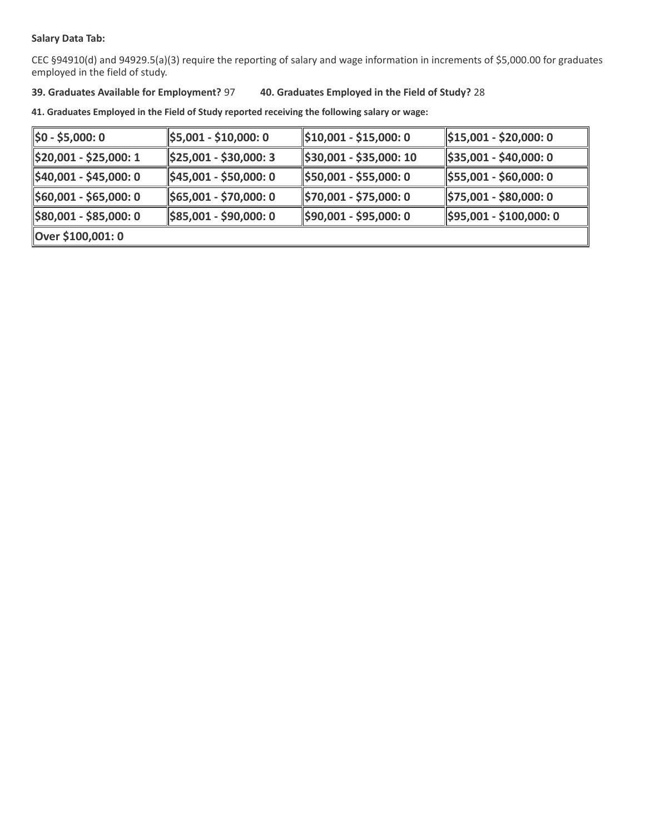### **Salary Data Tab:**

CEC §94910(d) and 94929.5(a)(3) require the reporting of salary and wage information in increments of \$5,000.00 for graduates employed in the field of study.

### **39. Graduates Available for Employment?** 97 **40. Graduates Employed in the Field of Study?** 28

**41. Graduates Employed in the Field of Study reported receiving the following salary or wage:**

| $\frac{1}{2}$ \$0 - \$5,000: 0     | \$5,001 - \$10,000: 0                | $\parallel$ \$10,001 - \$15,000: 0 | $\parallel$ \$15,001 - \$20,000: 0   |
|------------------------------------|--------------------------------------|------------------------------------|--------------------------------------|
| \$20,001 - \$25,000: 1             | $\frac{1}{2}$ \$25,001 - \$30,000: 3 | \$30,001 - \$35,000: 10            | $\frac{1}{2}$ \$35,001 - \$40,000: 0 |
| $\parallel$ \$40,001 - \$45,000: 0 | $\frac{1}{2}$ \$45,001 - \$50,000: 0 | \$50,001 - \$55,000: 0             | $\frac{1}{2}$ \$55,001 - \$60,000: 0 |
| $\parallel$ \$60,001 - \$65,000: 0 | \$65,001 - \$70,000: 0               | \$70,001 - \$75,000: 0             | $\frac{1}{2}$ \$75,001 - \$80,000: 0 |
| $\parallel$ \$80,001 - \$85,000: 0 | \$85,001 - \$90,000: 0               | \$90,001 - \$95,000: 0             | $\frac{1595,001 - $100,000:0}{}$     |
| Over \$100,001: 0                  |                                      |                                    |                                      |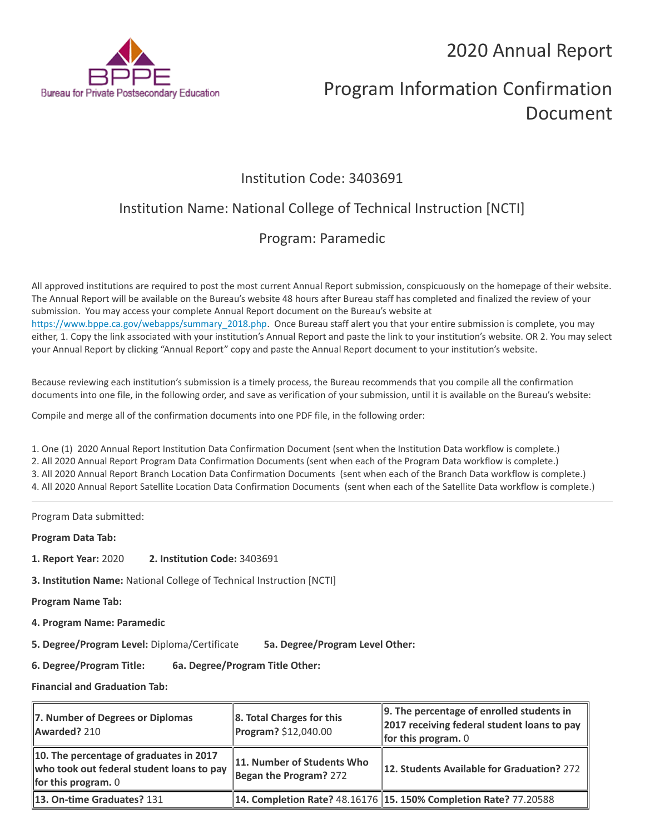2020 Annual Report



# Program Information Confirmation Document

## Institution Code: 3403691

## Institution Name: National College of Technical Instruction [NCTI]

## Program: Paramedic

All approved institutions are required to post the most current Annual Report submission, conspicuously on the homepage of their website. The Annual Report will be available on the Bureau's website 48 hours after Bureau staff has completed and finalized the review of your submission. You may access your complete Annual Report document on the Bureau's website at [https://www.bppe.ca.gov/webapps/summary\\_2018.php.](https://www.bppe.ca.gov/webapps/summary_2018.php) Once Bureau staff alert you that your entire submission is complete, you may either, 1. Copy the link associated with your institution's Annual Report and paste the link to your institution's website. OR 2. You may select your Annual Report by clicking "Annual Report" copy and paste the Annual Report document to your institution's website.

Because reviewing each institution's submission is a timely process, the Bureau recommends that you compile all the confirmation documents into one file, in the following order, and save as verification of your submission, until it is available on the Bureau's website:

Compile and merge all of the confirmation documents into one PDF file, in the following order:

1. One (1) 2020 Annual Report Institution Data Confirmation Document (sent when the Institution Data workflow is complete.) 2. All 2020 Annual Report Program Data Confirmation Documents (sent when each of the Program Data workflow is complete.) 3. All 2020 Annual Report Branch Location Data Confirmation Documents (sent when each of the Branch Data workflow is complete.) 4. All 2020 Annual Report Satellite Location Data Confirmation Documents (sent when each of the Satellite Data workflow is complete.)

Program Data submitted:

**Program Data Tab:**

- **1. Report Year:** 2020 **2. Institution Code:** 3403691
- **3. Institution Name:** National College of Technical Instruction [NCTI]

**Program Name Tab:**

**4. Program Name: Paramedic** 

**5. Degree/Program Level:** Diploma/Certificate **5a. Degree/Program Level Other:**

**6. Degree/Program Title: 6a. Degree/Program Title Other:**

**Financial and Graduation Tab:**

| 7. Number of Degrees or Diplomas<br>Awarded? 210                                                                     | $\ 8.$ Total Charges for this<br>Program? \$12,040.00  | $\parallel$ 9. The percentage of enrolled students in<br>2017 receiving federal student loans to pay<br><b>for this program.</b> $0$ |
|----------------------------------------------------------------------------------------------------------------------|--------------------------------------------------------|--------------------------------------------------------------------------------------------------------------------------------------|
| 10. The percentage of graduates in 2017<br>who took out federal student loans to pay<br><b>for this program.</b> $0$ | 11. Number of Students Who<br>Began the Program? $272$ | 12. Students Available for Graduation? 272                                                                                           |
| 13. On-time Graduates? 131                                                                                           |                                                        | 14. Completion Rate? 48.16176   15. 150% Completion Rate? 77.20588                                                                   |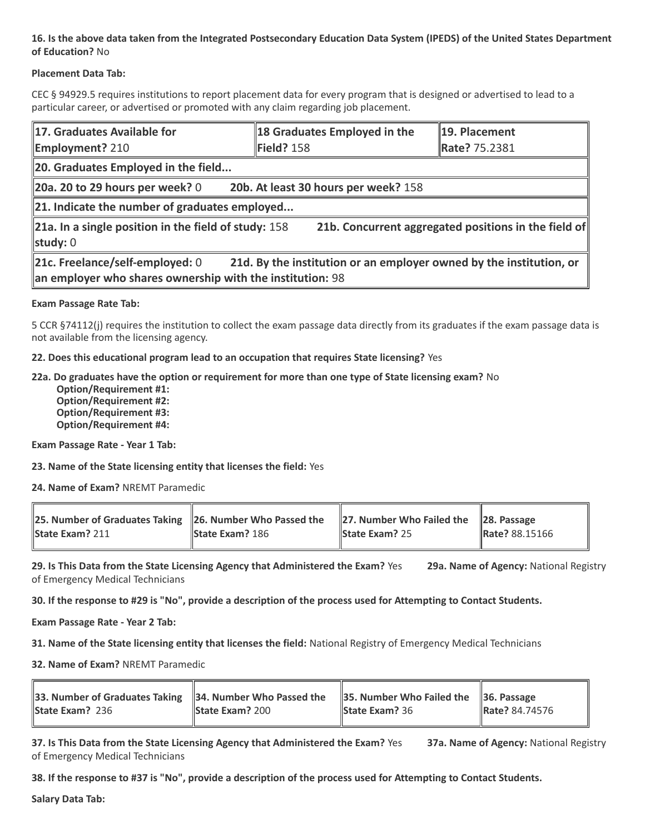### **16. Is the above data taken from the Integrated Postsecondary Education Data System (IPEDS) of the United States Department of Education?** No

### **Placement Data Tab:**

CEC § 94929.5 requires institutions to report placement data for every program that is designed or advertised to lead to a particular career, or advertised or promoted with any claim regarding job placement.

| 17. Graduates Available for<br><b>Employment? 210</b>                                                                                                               | 18 Graduates Employed in the<br>Field? 158 | 19. Placement<br>Rate? 75.2381 |  |  |
|---------------------------------------------------------------------------------------------------------------------------------------------------------------------|--------------------------------------------|--------------------------------|--|--|
| 20. Graduates Employed in the field                                                                                                                                 |                                            |                                |  |  |
| $\vert$ 20a. 20 to 29 hours per week? 0                                                                                                                             | 20b. At least 30 hours per week? 158       |                                |  |  |
| $\ $ 21. Indicate the number of graduates employed                                                                                                                  |                                            |                                |  |  |
| 21b. Concurrent aggregated positions in the field of<br>21a. In a single position in the field of study: $158$<br>study: 0                                          |                                            |                                |  |  |
| 21c. Freelance/self-employed: 0<br>21d. By the institution or an employer owned by the institution, or<br>an employer who shares ownership with the institution: 98 |                                            |                                |  |  |

### **Exam Passage Rate Tab:**

5 CCR §74112(j) requires the institution to collect the exam passage data directly from its graduates if the exam passage data is not available from the licensing agency.

**22. Does this educational program lead to an occupation that requires State licensing?** Yes

### **22a. Do graduates have the option or requirement for more than one type of State licensing exam?** No

 **Option/Requirement #1: Option/Requirement #2: Option/Requirement #3: Option/Requirement #4:**

**Exam Passage Rate - Year 1 Tab:**

**23. Name of the State licensing entity that licenses the field:** Yes

**24. Name of Exam?** NREMT Paramedic

| 25. Number of Graduates Taking 26. Number Who Passed the 27. Number Who Failed the 28. Passage |                          |                       |                       |
|------------------------------------------------------------------------------------------------|--------------------------|-----------------------|-----------------------|
| <b>State Exam? 211</b>                                                                         | <b>State Exam?</b> $186$ | <b>State Exam? 25</b> | <b>Rate?</b> 88.15166 |

**29. Is This Data from the State Licensing Agency that Administered the Exam?** Yes **29a. Name of Agency:** National Registry of Emergency Medical Technicians

**30. If the response to #29 is "No", provide a description of the process used for Attempting to Contact Students.**

**Exam Passage Rate - Year 2 Tab:**

**31. Name of the State licensing entity that licenses the field:** National Registry of Emergency Medical Technicians

**32. Name of Exam?** NREMT Paramedic

| 33. Number of Graduates Taking $\ $ 34. Number Who Passed the $\ $ 35. Number Who Failed the $\ $ 36. Passage |                        |                       |                       |
|---------------------------------------------------------------------------------------------------------------|------------------------|-----------------------|-----------------------|
| <b>State Exam? 236</b>                                                                                        | <b>State Exam? 200</b> | <b>State Exam?</b> 36 | <b>Rate?</b> 84.74576 |
|                                                                                                               |                        |                       |                       |

**37. Is This Data from the State Licensing Agency that Administered the Exam?** Yes **37a. Name of Agency:** National Registry of Emergency Medical Technicians

**38. If the response to #37 is "No", provide a description of the process used for Attempting to Contact Students.** 

**Salary Data Tab:**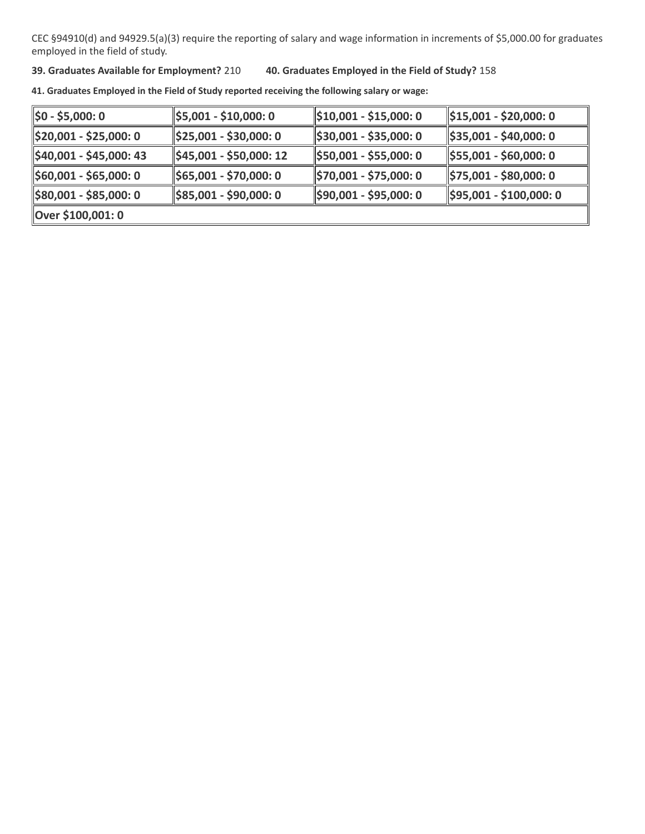CEC §94910(d) and 94929.5(a)(3) require the reporting of salary and wage information in increments of \$5,000.00 for graduates employed in the field of study.

**39. Graduates Available for Employment?** 210 **40. Graduates Employed in the Field of Study?** 158

**41. Graduates Employed in the Field of Study reported receiving the following salary or wage:**

| 1\$0 - \$5,000: 0       | \$5,001 - \$10,000: 0               | $\parallel$ \$10,001 - \$15,000: 0 | \$15,001 - \$20,000: 0              |
|-------------------------|-------------------------------------|------------------------------------|-------------------------------------|
| \$20,001 - \$25,000: 0  | $\parallel$ \$25,001 - \$30,000: 0  | $\parallel$ \$30,001 - \$35,000: 0 | \$35,001 - \$40,000: 0              |
| \$40,001 - \$45,000: 43 | $\parallel$ \$45,001 - \$50,000: 12 | \$50,001 - \$55,000: 0             | $\parallel$ \$55,001 - \$60,000: 0  |
| \$60,001 - \$65,000: 0  | $\parallel$ \$65,001 - \$70,000: 0  | 1970,001 - \$75,000: 0             | $\frac{1}{2}$ \$75,001 - \$80,000:0 |
| \$80,001 - \$85,000: 0  | \$85,001 - \$90,000: 0              | \$90,001 - \$95,000: 0             | $\parallel$ \$95,001 - \$100,000: 0 |
| Over \$100,001: 0       |                                     |                                    |                                     |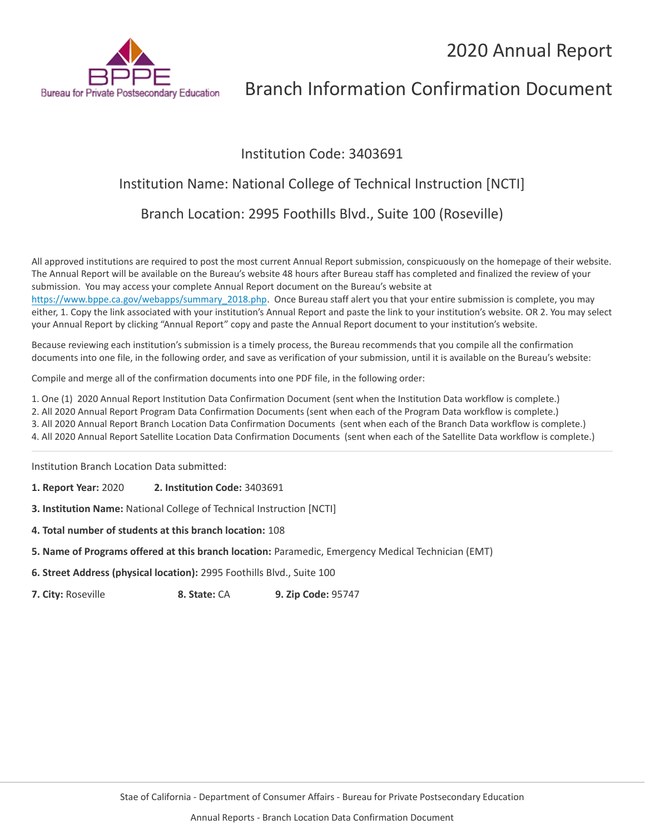

## Institution Code: 3403691

# Institution Name: National College of Technical Instruction [NCTI]

Branch Location: 2995 Foothills Blvd., Suite 100 (Roseville)

All approved institutions are required to post the most current Annual Report submission, conspicuously on the homepage of their website. The Annual Report will be available on the Bureau's website 48 hours after Bureau staff has completed and finalized the review of your submission. You may access your complete Annual Report document on the Bureau's website at

[https://www.bppe.ca.gov/webapps/summary\\_2018.php.](https://www.bppe.ca.gov/webapps/summary_2018.php) Once Bureau staff alert you that your entire submission is complete, you may either, 1. Copy the link associated with your institution's Annual Report and paste the link to your institution's website. OR 2. You may select your Annual Report by clicking "Annual Report" copy and paste the Annual Report document to your institution's website.

Because reviewing each institution's submission is a timely process, the Bureau recommends that you compile all the confirmation documents into one file, in the following order, and save as verification of your submission, until it is available on the Bureau's website:

Compile and merge all of the confirmation documents into one PDF file, in the following order:

1. One (1) 2020 Annual Report Institution Data Confirmation Document (sent when the Institution Data workflow is complete.)

2. All 2020 Annual Report Program Data Confirmation Documents (sent when each of the Program Data workflow is complete.)

3. All 2020 Annual Report Branch Location Data Confirmation Documents (sent when each of the Branch Data workflow is complete.)

4. All 2020 Annual Report Satellite Location Data Confirmation Documents (sent when each of the Satellite Data workflow is complete.)

Institution Branch Location Data submitted:

**1. Report Year:** 2020 **2. Institution Code:** 3403691

**3. Institution Name:** National College of Technical Instruction [NCTI]

- **4. Total number of students at this branch location:** 108
- **5. Name of Programs offered at this branch location:** Paramedic, Emergency Medical Technician (EMT)
- **6. Street Address (physical location):** 2995 Foothills Blvd., Suite 100

**7. City:** Roseville **8. State:** CA **9. Zip Code:** 95747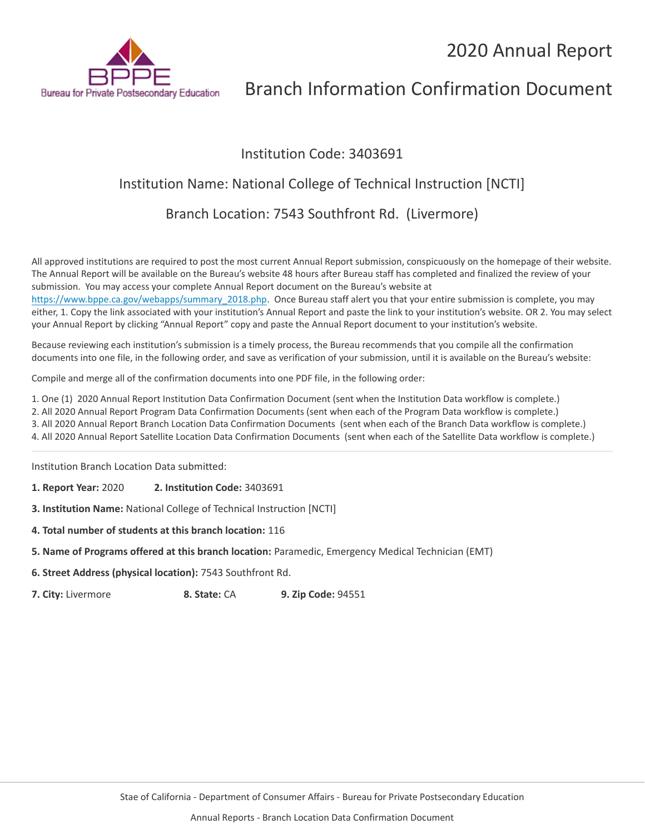

## Institution Code: 3403691

## Institution Name: National College of Technical Instruction [NCTI]

Branch Location: 7543 Southfront Rd. (Livermore)

All approved institutions are required to post the most current Annual Report submission, conspicuously on the homepage of their website. The Annual Report will be available on the Bureau's website 48 hours after Bureau staff has completed and finalized the review of your submission. You may access your complete Annual Report document on the Bureau's website at [https://www.bppe.ca.gov/webapps/summary\\_2018.php.](https://www.bppe.ca.gov/webapps/summary_2018.php) Once Bureau staff alert you that your entire submission is complete, you may

either, 1. Copy the link associated with your institution's Annual Report and paste the link to your institution's website. OR 2. You may select your Annual Report by clicking "Annual Report" copy and paste the Annual Report document to your institution's website.

Because reviewing each institution's submission is a timely process, the Bureau recommends that you compile all the confirmation documents into one file, in the following order, and save as verification of your submission, until it is available on the Bureau's website:

Compile and merge all of the confirmation documents into one PDF file, in the following order:

1. One (1) 2020 Annual Report Institution Data Confirmation Document (sent when the Institution Data workflow is complete.)

2. All 2020 Annual Report Program Data Confirmation Documents (sent when each of the Program Data workflow is complete.)

3. All 2020 Annual Report Branch Location Data Confirmation Documents (sent when each of the Branch Data workflow is complete.)

4. All 2020 Annual Report Satellite Location Data Confirmation Documents (sent when each of the Satellite Data workflow is complete.)

Institution Branch Location Data submitted:

**1. Report Year:** 2020 **2. Institution Code:** 3403691

**3. Institution Name:** National College of Technical Instruction [NCTI]

- **4. Total number of students at this branch location:** 116
- **5. Name of Programs offered at this branch location:** Paramedic, Emergency Medical Technician (EMT)
- **6. Street Address (physical location):** 7543 Southfront Rd.

**7. City:** Livermore **8. State:** CA **9. Zip Code:** 94551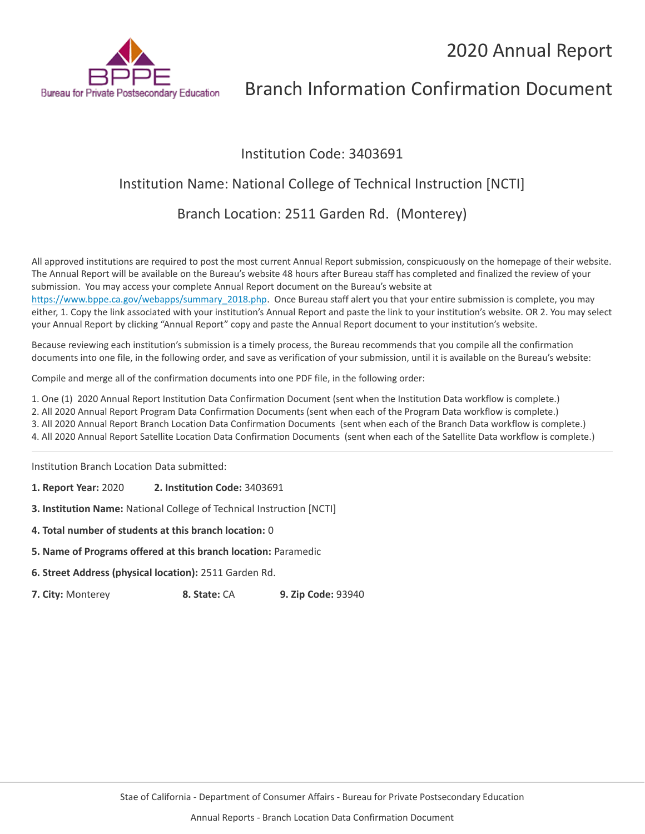

## Institution Code: 3403691

## Institution Name: National College of Technical Instruction [NCTI]

Branch Location: 2511 Garden Rd. (Monterey)

All approved institutions are required to post the most current Annual Report submission, conspicuously on the homepage of their website. The Annual Report will be available on the Bureau's website 48 hours after Bureau staff has completed and finalized the review of your submission. You may access your complete Annual Report document on the Bureau's website at

[https://www.bppe.ca.gov/webapps/summary\\_2018.php.](https://www.bppe.ca.gov/webapps/summary_2018.php) Once Bureau staff alert you that your entire submission is complete, you may either, 1. Copy the link associated with your institution's Annual Report and paste the link to your institution's website. OR 2. You may select your Annual Report by clicking "Annual Report" copy and paste the Annual Report document to your institution's website.

Because reviewing each institution's submission is a timely process, the Bureau recommends that you compile all the confirmation documents into one file, in the following order, and save as verification of your submission, until it is available on the Bureau's website:

Compile and merge all of the confirmation documents into one PDF file, in the following order:

1. One (1) 2020 Annual Report Institution Data Confirmation Document (sent when the Institution Data workflow is complete.)

2. All 2020 Annual Report Program Data Confirmation Documents (sent when each of the Program Data workflow is complete.)

3. All 2020 Annual Report Branch Location Data Confirmation Documents (sent when each of the Branch Data workflow is complete.)

4. All 2020 Annual Report Satellite Location Data Confirmation Documents (sent when each of the Satellite Data workflow is complete.)

Institution Branch Location Data submitted:

**1. Report Year:** 2020 **2. Institution Code:** 3403691

**3. Institution Name:** National College of Technical Instruction [NCTI]

- **4. Total number of students at this branch location:** 0
- **5. Name of Programs offered at this branch location:** Paramedic
- **6. Street Address (physical location):** 2511 Garden Rd.

**7. City:** Monterey **8. State:** CA **9. Zip Code:** 93940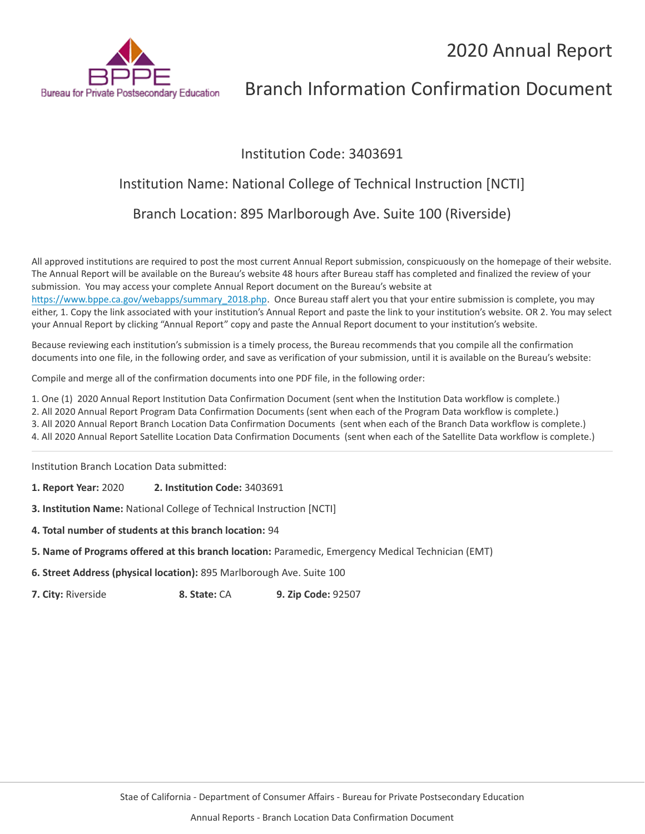

## Institution Code: 3403691

## Institution Name: National College of Technical Instruction [NCTI]

Branch Location: 895 Marlborough Ave. Suite 100 (Riverside)

All approved institutions are required to post the most current Annual Report submission, conspicuously on the homepage of their website. The Annual Report will be available on the Bureau's website 48 hours after Bureau staff has completed and finalized the review of your submission. You may access your complete Annual Report document on the Bureau's website at

[https://www.bppe.ca.gov/webapps/summary\\_2018.php.](https://www.bppe.ca.gov/webapps/summary_2018.php) Once Bureau staff alert you that your entire submission is complete, you may either, 1. Copy the link associated with your institution's Annual Report and paste the link to your institution's website. OR 2. You may select your Annual Report by clicking "Annual Report" copy and paste the Annual Report document to your institution's website.

Because reviewing each institution's submission is a timely process, the Bureau recommends that you compile all the confirmation documents into one file, in the following order, and save as verification of your submission, until it is available on the Bureau's website:

Compile and merge all of the confirmation documents into one PDF file, in the following order:

1. One (1) 2020 Annual Report Institution Data Confirmation Document (sent when the Institution Data workflow is complete.)

2. All 2020 Annual Report Program Data Confirmation Documents (sent when each of the Program Data workflow is complete.)

3. All 2020 Annual Report Branch Location Data Confirmation Documents (sent when each of the Branch Data workflow is complete.)

4. All 2020 Annual Report Satellite Location Data Confirmation Documents (sent when each of the Satellite Data workflow is complete.)

Institution Branch Location Data submitted:

**1. Report Year:** 2020 **2. Institution Code:** 3403691

**3. Institution Name:** National College of Technical Instruction [NCTI]

- **4. Total number of students at this branch location:** 94
- **5. Name of Programs offered at this branch location:** Paramedic, Emergency Medical Technician (EMT)
- **6. Street Address (physical location):** 895 Marlborough Ave. Suite 100

**7. City:** Riverside **8. State:** CA **9. Zip Code:** 92507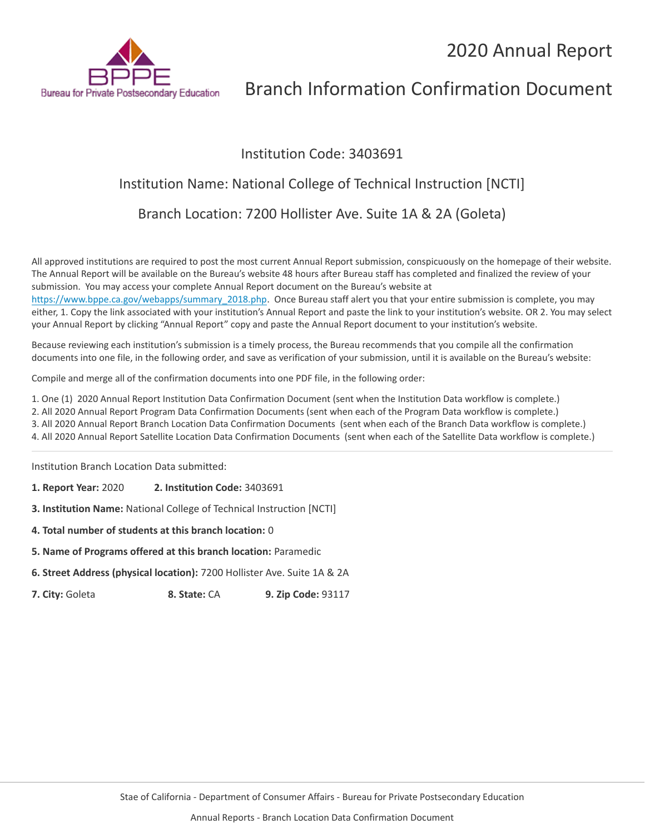

## Institution Code: 3403691

## Institution Name: National College of Technical Instruction [NCTI]

Branch Location: 7200 Hollister Ave. Suite 1A & 2A (Goleta)

All approved institutions are required to post the most current Annual Report submission, conspicuously on the homepage of their website. The Annual Report will be available on the Bureau's website 48 hours after Bureau staff has completed and finalized the review of your submission. You may access your complete Annual Report document on the Bureau's website at

[https://www.bppe.ca.gov/webapps/summary\\_2018.php.](https://www.bppe.ca.gov/webapps/summary_2018.php) Once Bureau staff alert you that your entire submission is complete, you may either, 1. Copy the link associated with your institution's Annual Report and paste the link to your institution's website. OR 2. You may select your Annual Report by clicking "Annual Report" copy and paste the Annual Report document to your institution's website.

Because reviewing each institution's submission is a timely process, the Bureau recommends that you compile all the confirmation documents into one file, in the following order, and save as verification of your submission, until it is available on the Bureau's website:

Compile and merge all of the confirmation documents into one PDF file, in the following order:

1. One (1) 2020 Annual Report Institution Data Confirmation Document (sent when the Institution Data workflow is complete.)

2. All 2020 Annual Report Program Data Confirmation Documents (sent when each of the Program Data workflow is complete.)

3. All 2020 Annual Report Branch Location Data Confirmation Documents (sent when each of the Branch Data workflow is complete.)

4. All 2020 Annual Report Satellite Location Data Confirmation Documents (sent when each of the Satellite Data workflow is complete.)

Institution Branch Location Data submitted:

**1. Report Year:** 2020 **2. Institution Code:** 3403691

**3. Institution Name:** National College of Technical Instruction [NCTI]

- **4. Total number of students at this branch location:** 0
- **5. Name of Programs offered at this branch location:** Paramedic
- **6. Street Address (physical location):** 7200 Hollister Ave. Suite 1A & 2A

**7. City:** Goleta **8. State:** CA **9. Zip Code:** 93117